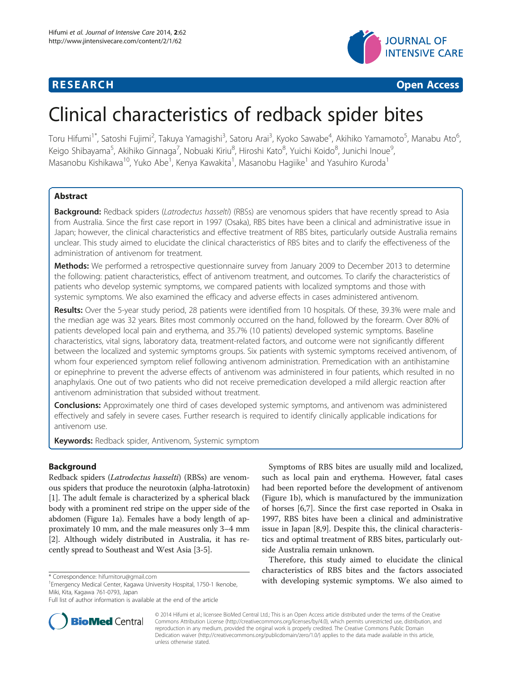



# Clinical characteristics of redback spider bites

Toru Hifumi<sup>1\*</sup>, Satoshi Fujimi<sup>2</sup>, Takuya Yamagishi<sup>3</sup>, Satoru Arai<sup>3</sup>, Kyoko Sawabe<sup>4</sup>, Akihiko Yamamoto<sup>5</sup>, Manabu Ato<sup>6</sup> , Keigo Shibayama<sup>5</sup>, Akihiko Ginnaga<sup>7</sup>, Nobuaki Kiriu<sup>8</sup>, Hiroshi Kato<sup>8</sup>, Yuichi Koido<sup>8</sup>, Junichi Inoue<sup>9</sup> , Masanobu Kishikawa<sup>10</sup>, Yuko Abe<sup>1</sup>, Kenya Kawakita<sup>1</sup>, Masanobu Hagiike<sup>1</sup> and Yasuhiro Kuroda<sup>1</sup>

# Abstract

Background: Redback spiders (Latrodectus hasselti) (RBSs) are venomous spiders that have recently spread to Asia from Australia. Since the first case report in 1997 (Osaka), RBS bites have been a clinical and administrative issue in Japan; however, the clinical characteristics and effective treatment of RBS bites, particularly outside Australia remains unclear. This study aimed to elucidate the clinical characteristics of RBS bites and to clarify the effectiveness of the administration of antivenom for treatment.

Methods: We performed a retrospective questionnaire survey from January 2009 to December 2013 to determine the following: patient characteristics, effect of antivenom treatment, and outcomes. To clarify the characteristics of patients who develop systemic symptoms, we compared patients with localized symptoms and those with systemic symptoms. We also examined the efficacy and adverse effects in cases administered antivenom.

Results: Over the 5-year study period, 28 patients were identified from 10 hospitals. Of these, 39.3% were male and the median age was 32 years. Bites most commonly occurred on the hand, followed by the forearm. Over 80% of patients developed local pain and erythema, and 35.7% (10 patients) developed systemic symptoms. Baseline characteristics, vital signs, laboratory data, treatment-related factors, and outcome were not significantly different between the localized and systemic symptoms groups. Six patients with systemic symptoms received antivenom, of whom four experienced symptom relief following antivenom administration. Premedication with an antihistamine or epinephrine to prevent the adverse effects of antivenom was administered in four patients, which resulted in no anaphylaxis. One out of two patients who did not receive premedication developed a mild allergic reaction after antivenom administration that subsided without treatment.

**Conclusions:** Approximately one third of cases developed systemic symptoms, and antivenom was administered effectively and safely in severe cases. Further research is required to identify clinically applicable indications for antivenom use.

Keywords: Redback spider, Antivenom, Systemic symptom

# **Background**

Redback spiders (Latrodectus hasselti) (RBSs) are venomous spiders that produce the neurotoxin (alpha-latrotoxin) [[1\]](#page-5-0). The adult female is characterized by a spherical black body with a prominent red stripe on the upper side of the abdomen (Figure [1a](#page-1-0)). Females have a body length of approximately 10 mm, and the male measures only 3–4 mm [[2\]](#page-5-0). Although widely distributed in Australia, it has recently spread to Southeast and West Asia [3-5].



Therefore, this study aimed to elucidate the clinical characteristics of RBS bites and the factors associated \* Correspondence: [hifumitoru@gmail.com](mailto:hifumitoru@gmail.com) **and the systemic symptoms.** We also aimed to <sup>1</sup> Emergency Medical Center Kagawa University Hospital 1750-1 Ikenobe **1500 with developing systemic symptoms.** We also aimed to



© 2014 Hifumi et al.; licensee BioMed Central Ltd.; This is an Open Access article distributed under the terms of the Creative Commons Attribution License [\(http://creativecommons.org/licenses/by/4.0\)](http://creativecommons.org/licenses/by/4.0), which permits unrestricted use, distribution, and reproduction in any medium, provided the original work is properly credited. The Creative Commons Public Domain Dedication waiver [\(http://creativecommons.org/publicdomain/zero/1.0/](http://creativecommons.org/publicdomain/zero/1.0/)) applies to the data made available in this article, unless otherwise stated.

Emergency Medical Center, Kagawa University Hospital, 1750-1 Ikenobe, Miki, Kita, Kagawa 761-0793, Japan

Full list of author information is available at the end of the article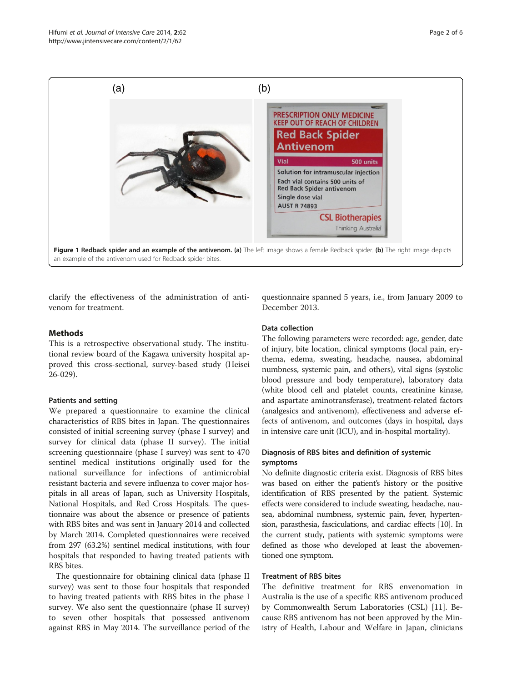<span id="page-1-0"></span>

clarify the effectiveness of the administration of antivenom for treatment.

questionnaire spanned 5 years, i.e., from January 2009 to December 2013.

# **Methods**

This is a retrospective observational study. The institutional review board of the Kagawa university hospital approved this cross-sectional, survey-based study (Heisei 26-029).

#### Patients and setting

We prepared a questionnaire to examine the clinical characteristics of RBS bites in Japan. The questionnaires consisted of initial screening survey (phase I survey) and survey for clinical data (phase II survey). The initial screening questionnaire (phase I survey) was sent to 470 sentinel medical institutions originally used for the national surveillance for infections of antimicrobial resistant bacteria and severe influenza to cover major hospitals in all areas of Japan, such as University Hospitals, National Hospitals, and Red Cross Hospitals. The questionnaire was about the absence or presence of patients with RBS bites and was sent in January 2014 and collected by March 2014. Completed questionnaires were received from 297 (63.2%) sentinel medical institutions, with four hospitals that responded to having treated patients with RBS bites.

The questionnaire for obtaining clinical data (phase II survey) was sent to those four hospitals that responded to having treated patients with RBS bites in the phase I survey. We also sent the questionnaire (phase II survey) to seven other hospitals that possessed antivenom against RBS in May 2014. The surveillance period of the

#### Data collection

The following parameters were recorded: age, gender, date of injury, bite location, clinical symptoms (local pain, erythema, edema, sweating, headache, nausea, abdominal numbness, systemic pain, and others), vital signs (systolic blood pressure and body temperature), laboratory data (white blood cell and platelet counts, creatinine kinase, and aspartate aminotransferase), treatment-related factors (analgesics and antivenom), effectiveness and adverse effects of antivenom, and outcomes (days in hospital, days in intensive care unit (ICU), and in-hospital mortality).

### Diagnosis of RBS bites and definition of systemic symptoms

No definite diagnostic criteria exist. Diagnosis of RBS bites was based on either the patient's history or the positive identification of RBS presented by the patient. Systemic effects were considered to include sweating, headache, nausea, abdominal numbness, systemic pain, fever, hypertension, parasthesia, fasciculations, and cardiac effects [10]. In the current study, patients with systemic symptoms were defined as those who developed at least the abovementioned one symptom.

### Treatment of RBS bites

The definitive treatment for RBS envenomation in Australia is the use of a specific RBS antivenom produced by Commonwealth Serum Laboratories (CSL) [11]. Because RBS antivenom has not been approved by the Ministry of Health, Labour and Welfare in Japan, clinicians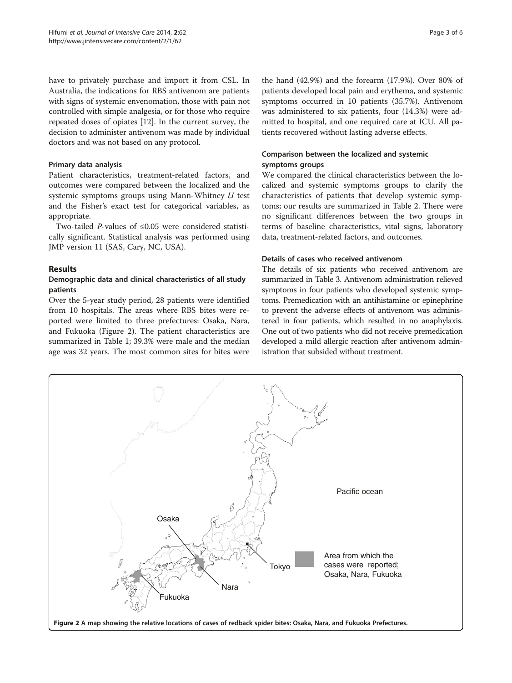have to privately purchase and import it from CSL. In Australia, the indications for RBS antivenom are patients with signs of systemic envenomation, those with pain not controlled with simple analgesia, or for those who require repeated doses of opiates [12]. In the current survey, the decision to administer antivenom was made by individual doctors and was not based on any protocol.

#### Primary data analysis

Patient characteristics, treatment-related factors, and outcomes were compared between the localized and the systemic symptoms groups using Mann-Whitney U test and the Fisher's exact test for categorical variables, as appropriate.

Two-tailed P-values of ≤0.05 were considered statistically significant. Statistical analysis was performed using JMP version 11 (SAS, Cary, NC, USA).

# Results

# Demographic data and clinical characteristics of all study patients

Over the 5-year study period, 28 patients were identified from 10 hospitals. The areas where RBS bites were reported were limited to three prefectures: Osaka, Nara, and Fukuoka (Figure 2). The patient characteristics are summarized in Table [1](#page-3-0); 39.3% were male and the median age was 32 years. The most common sites for bites were

the hand (42.9%) and the forearm (17.9%). Over 80% of patients developed local pain and erythema, and systemic symptoms occurred in 10 patients (35.7%). Antivenom was administered to six patients, four (14.3%) were admitted to hospital, and one required care at ICU. All patients recovered without lasting adverse effects.

# Comparison between the localized and systemic symptoms groups

We compared the clinical characteristics between the localized and systemic symptoms groups to clarify the characteristics of patients that develop systemic symptoms; our results are summarized in Table [2.](#page-4-0) There were no significant differences between the two groups in terms of baseline characteristics, vital signs, laboratory data, treatment-related factors, and outcomes.

#### Details of cases who received antivenom

The details of six patients who received antivenom are summarized in Table [3](#page-4-0). Antivenom administration relieved symptoms in four patients who developed systemic symptoms. Premedication with an antihistamine or epinephrine to prevent the adverse effects of antivenom was administered in four patients, which resulted in no anaphylaxis. One out of two patients who did not receive premedication developed a mild allergic reaction after antivenom administration that subsided without treatment.

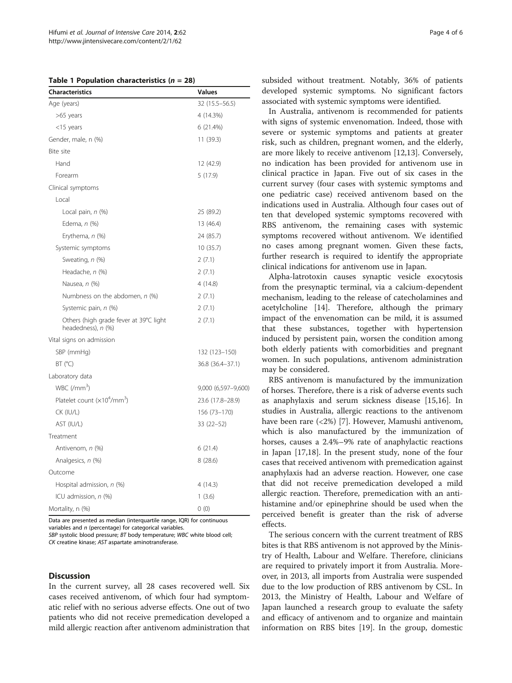<span id="page-3-0"></span>Table 1 Population characteristics ( $n = 28$ )

| <b>Characteristics</b>                                       | <b>Values</b>       |  |  |
|--------------------------------------------------------------|---------------------|--|--|
| Age (years)                                                  | 32 (15.5 - 56.5)    |  |  |
| >65 years                                                    | 4 (14.3%)           |  |  |
| $<$ 15 years                                                 | 6 (21.4%)           |  |  |
| Gender, male, n (%)                                          | 11 (39.3)           |  |  |
| Bite site                                                    |                     |  |  |
| Hand                                                         | 12 (42.9)           |  |  |
| Forearm                                                      | 5 (17.9)            |  |  |
| Clinical symptoms                                            |                     |  |  |
| Local                                                        |                     |  |  |
| Local pain, n (%)                                            | 25 (89.2)           |  |  |
| Edema, n (%)                                                 | 13 (46.4)           |  |  |
| Erythema, n (%)                                              | 24 (85.7)           |  |  |
| Systemic symptoms                                            | 10(35.7)            |  |  |
| Sweating, n (%)                                              | 2(7.1)              |  |  |
| Headache, n (%)                                              | 2(7.1)              |  |  |
| Nausea, n (%)                                                | 4(14.8)             |  |  |
| Numbness on the abdomen, n (%)                               | 2(7.1)              |  |  |
| Systemic pain, n (%)                                         | 2(7.1)              |  |  |
| Others (high grade fever at 39°C light<br>headedness), n (%) | 2(7.1)              |  |  |
| Vital signs on admission                                     |                     |  |  |
| SBP (mmHg)                                                   | 132 (123–150)       |  |  |
| BT (°C)                                                      | 36.8 (36.4-37.1)    |  |  |
| Laboratory data                                              |                     |  |  |
| $WBC$ (/mm <sup>3</sup> )                                    | 9,000 (6,597-9,600) |  |  |
| Platelet count $(x10^4/\text{mm}^3)$                         | 23.6 (17.8-28.9)    |  |  |
| CK (IU/L)                                                    | 156 (73-170)        |  |  |
| AST (IU/L)                                                   | 33 (22-52)          |  |  |
| Treatment                                                    |                     |  |  |
| Antivenom, n (%)                                             | 6(21.4)             |  |  |
| Analgesics, n (%)                                            | 8(28.6)             |  |  |
| Outcome                                                      |                     |  |  |
| Hospital admission, n (%)                                    | 4 (14.3)            |  |  |
| ICU admission, n (%)                                         | 1(3.6)              |  |  |
| Mortality, n (%)                                             | 0(0)                |  |  |

Data are presented as median (interquartile range, IQR) for continuous variables and  $n$  (percentage) for categorical variables.

SBP systolic blood pressure; BT body temperature; WBC white blood cell; CK creatine kinase; AST aspartate aminotransferase.

#### **Discussion**

In the current survey, all 28 cases recovered well. Six cases received antivenom, of which four had symptomatic relief with no serious adverse effects. One out of two patients who did not receive premedication developed a mild allergic reaction after antivenom administration that

subsided without treatment. Notably, 36% of patients developed systemic symptoms. No significant factors associated with systemic symptoms were identified.

In Australia, antivenom is recommended for patients with signs of systemic envenomation. Indeed, those with severe or systemic symptoms and patients at greater risk, such as children, pregnant women, and the elderly, are more likely to receive antivenom [12,13]. Conversely, no indication has been provided for antivenom use in clinical practice in Japan. Five out of six cases in the current survey (four cases with systemic symptoms and one pediatric case) received antivenom based on the indications used in Australia. Although four cases out of ten that developed systemic symptoms recovered with RBS antivenom, the remaining cases with systemic symptoms recovered without antivenom. We identified no cases among pregnant women. Given these facts, further research is required to identify the appropriate clinical indications for antivenom use in Japan.

Alpha-latrotoxin causes synaptic vesicle exocytosis from the presynaptic terminal, via a calcium-dependent mechanism, leading to the release of catecholamines and acetylcholine [14]. Therefore, although the primary impact of the envenomation can be mild, it is assumed that these substances, together with hypertension induced by persistent pain, worsen the condition among both elderly patients with comorbidities and pregnant women. In such populations, antivenom administration may be considered.

RBS antivenom is manufactured by the immunization of horses. Therefore, there is a risk of adverse events such as anaphylaxis and serum sickness disease [15,16]. In studies in Australia, allergic reactions to the antivenom have been rare (<2%) [7]. However, Mamushi antivenom, which is also manufactured by the immunization of horses, causes a 2.4%–9% rate of anaphylactic reactions in Japan [17,18]. In the present study, none of the four cases that received antivenom with premedication against anaphylaxis had an adverse reaction. However, one case that did not receive premedication developed a mild allergic reaction. Therefore, premedication with an antihistamine and/or epinephrine should be used when the perceived benefit is greater than the risk of adverse effects.

The serious concern with the current treatment of RBS bites is that RBS antivenom is not approved by the Ministry of Health, Labour and Welfare. Therefore, clinicians are required to privately import it from Australia. Moreover, in 2013, all imports from Australia were suspended due to the low production of RBS antivenom by CSL. In 2013, the Ministry of Health, Labour and Welfare of Japan launched a research group to evaluate the safety and efficacy of antivenom and to organize and maintain information on RBS bites [19]. In the group, domestic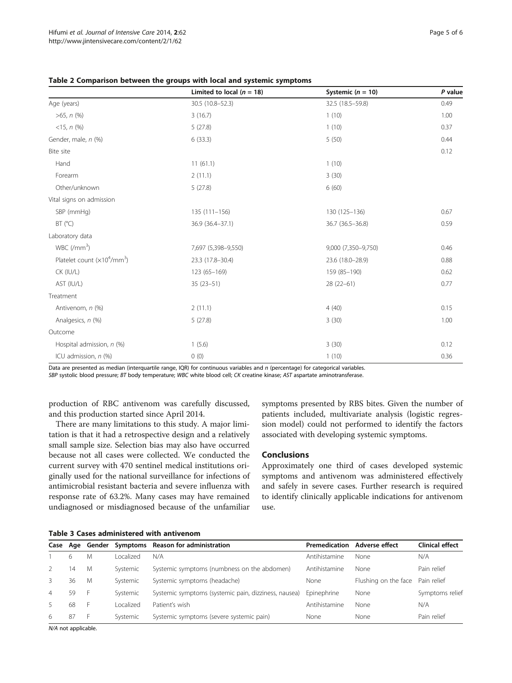|                                      | Limited to local ( $n = 18$ ) | Systemic ( $n = 10$ ) | P value |
|--------------------------------------|-------------------------------|-----------------------|---------|
| Age (years)                          | 30.5 (10.8-52.3)              | 32.5 (18.5-59.8)      | 0.49    |
| $>65$ , $n$ (%)                      | 1(10)<br>3(16.7)              |                       | 1.00    |
| $<15, n$ (%)                         | 5(27.8)                       | 1(10)                 |         |
| Gender, male, n (%)                  | 6(33.3)                       | 5(50)                 | 0.44    |
| Bite site                            |                               |                       | 0.12    |
| Hand                                 | 11(61.1)                      | 1(10)                 |         |
| Forearm                              | 2(11.1)                       | 3(30)                 |         |
| Other/unknown                        | 5(27.8)                       | 6(60)                 |         |
| Vital signs on admission             |                               |                       |         |
| SBP (mmHg)                           | $135(111 - 156)$              | 130 (125-136)         | 0.67    |
| BT (°C)                              | 36.9 (36.4-37.1)              | 36.7 (36.5-36.8)      | 0.59    |
| Laboratory data                      |                               |                       |         |
| WBC (/mm <sup>3</sup> )              | 7,697 (5,398-9,550)           | 9,000 (7,350-9,750)   | 0.46    |
| Platelet count $(x10^4/\text{mm}^3)$ | 23.3 (17.8-30.4)              | 23.6 (18.0-28.9)      | 0.88    |
| CK (IU/L)<br>123 (65-169)            |                               | 159 (85-190)          | 0.62    |
| AST (IU/L)                           | $35(23 - 51)$<br>$28(22-61)$  |                       | 0.77    |
| Treatment                            |                               |                       |         |
| Antivenom, n (%)                     | 2(11.1)                       | 4(40)                 | 0.15    |
| Analgesics, n (%)                    | 5(27.8)                       | 3(30)                 | 1.00    |
| Outcome                              |                               |                       |         |
| Hospital admission, n (%)            | 1(5.6)<br>3(30)               |                       | 0.12    |
| ICU admission, $n$ (%)               | 0(0)                          | 1(10)                 | 0.36    |

<span id="page-4-0"></span>Table 2 Comparison between the groups with local and systemic symptoms

Data are presented as median (interquartile range, IQR) for continuous variables and n (percentage) for categorical variables. SBP systolic blood pressure; BT body temperature; WBC white blood cell; CK creatine kinase; AST aspartate aminotransferase.

production of RBC antivenom was carefully discussed, and this production started since April 2014.

There are many limitations to this study. A major limitation is that it had a retrospective design and a relatively small sample size. Selection bias may also have occurred because not all cases were collected. We conducted the current survey with 470 sentinel medical institutions originally used for the national surveillance for infections of antimicrobial resistant bacteria and severe influenza with response rate of 63.2%. Many cases may have remained undiagnosed or misdiagnosed because of the unfamiliar

symptoms presented by RBS bites. Given the number of patients included, multivariate analysis (logistic regression model) could not performed to identify the factors associated with developing systemic symptoms.

# Conclusions

Approximately one third of cases developed systemic symptoms and antivenom was administered effectively and safely in severe cases. Further research is required to identify clinically applicable indications for antivenom use.

Table 3 Cases administered with antivenom

|                | Case Age | Gender | Symptoms   | <b>Reason for administration</b>                     | Premedication | Adverse effect       | Clinical effect |
|----------------|----------|--------|------------|------------------------------------------------------|---------------|----------------------|-----------------|
|                | 6        | M      | ocalized   | N/A                                                  | Antihistamine | None                 | N/A             |
|                | 14       | M      | Systemic   | Systemic symptoms (numbness on the abdomen)          | Antihistamine | None                 | Pain relief     |
| 3              | 36       | M      | Systemic   | Systemic symptoms (headache)                         | None          | Flushing on the face | Pain relief     |
| $\overline{4}$ | 59       | F      | Systemic   | Systemic symptoms (systemic pain, dizziness, nausea) | Epinephrine   | None                 | Symptoms relief |
| .5             | 68       | F      | l ocalized | Patient's wish                                       | Antihistamine | None                 | N/A             |
| 6              | 87       | F.     | Systemic   | Systemic symptoms (severe systemic pain)             | None          | None                 | Pain relief     |

N/A not applicable.